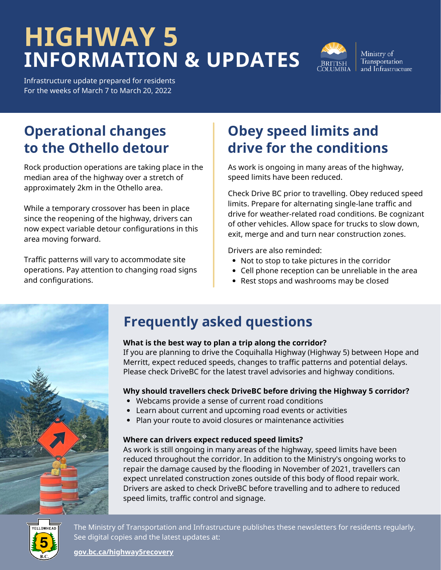# **HIGHWAY 5 INFORMATION & UPDATES**



Ministry of Transportation and Infrastructure

Infrastructure update prepared for residents For the weeks of March 7 to March 20, 2022

# **Operational changes to the Othello detour**

Rock production operations are taking place in the median area of the highway over a stretch of approximately 2km in the Othello area.

While a temporary crossover has been in place since the reopening of the highway, drivers can now expect variable detour configurations in this area moving forward.

Traffic patterns will vary to accommodate site operations. Pay attention to changing road signs and configurations.

# **Obey speed limits and drive for the conditions**

As work is ongoing in many areas of the highway, speed limits have been reduced.

Check Drive BC prior to travelling. Obey reduced speed limits. Prepare for alternating single-lane traffic and drive for weather-related road conditions. Be cognizant of other vehicles. Allow space for trucks to slow down, exit, merge and and turn near construction zones.

Drivers are also reminded:

- Not to stop to take pictures in the corridor
- Cell phone reception can be unreliable in the area
- Rest stops and washrooms may be closed



# **Frequently asked questions**

#### **What is the best way to plan a trip along the corridor?**

If you are planning to drive the Coquihalla Highway (Highway 5) between Hope and Merritt, expect reduced speeds, changes to traffic patterns and potential delays. Please check DriveBC for the latest travel advisories and highway conditions.

#### **Why should travellers check DriveBC before driving the Highway 5 corridor?**

- Webcams provide a sense of current road conditions
- Learn about current and upcoming road events or activities
- Plan your route to avoid closures or maintenance activities

#### **Where can drivers expect reduced speed limits?**

As work is still ongoing in many areas of the highway, speed limits have been reduced throughout the corridor. In addition to the Ministry's ongoing works to repair the damage caused by the flooding in November of 2021, travellers can expect unrelated construction zones outside of this body of flood repair work. Drivers are asked to check DriveBC before travelling and to adhere to reduced speed limits, traffic control and signage.



The Ministry of Transportation and Infrastructure publishes these newsletters for residents regularly. See digital copies and the latest updates at:

**[gov.bc.ca/highway5recovery](https://www2.gov.bc.ca/gov/content/transportation-projects/bc-highway-flood-recovery/2021-flood-road-recovery-projects-highway-5)**